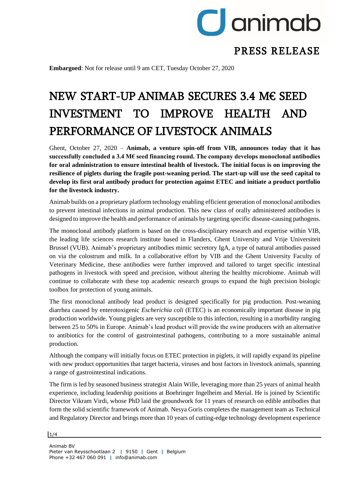

# PRESS RELEASE

**Embargoed**: Not for release until 9 am CET, Tuesday October 27, 2020

# NEW START-UP ANIMAB SECURES 3.4 M€ SEED INVESTMENT TO IMPROVE HEALTH AND PERFORMANCE OF LIVESTOCK ANIMALS

Ghent, October 27, 2020 *–* **Animab, a venture spin-off from VIB, announces today that it has successfully concluded a 3.4 M€ seed financing round. The company develops monoclonal antibodies for oral administration to ensure intestinal health of livestock. The initial focus is on improving the resilience of piglets during the fragile post-weaning period. The start-up will use the seed capital to develop its first oral antibody product for protection against ETEC and initiate a product portfolio for the livestock industry.** 

Animab builds on a proprietary platform technology enabling efficient generation of monoclonal antibodies to prevent intestinal infections in animal production. This new class of orally administered antibodies is designed to improve the health and performance of animals by targeting specific disease-causing pathogens.

The monoclonal antibody platform is based on the cross-disciplinary research and expertise within VIB, the leading life sciences research institute based in Flanders, Ghent University and Vrije Universiteit Brussel (VUB). Animab's proprietary antibodies mimic secretory IgA, a type of natural antibodies passed on via the colostrum and milk. In a collaborative effort by VIB and the Ghent University Faculty of Veterinary Medicine, these antibodies were further improved and tailored to target specific intestinal pathogens in livestock with speed and precision, without altering the healthy microbiome. Animab will continue to collaborate with these top academic research groups to expand the high precision biologic toolbox for protection of young animals.

The first monoclonal antibody lead product is designed specifically for pig production. Post-weaning diarrhea caused by enterotoxigenic *Escherichia coli* (ETEC) is an economically important disease in pig production worldwide. Young piglets are very susceptible to this infection, resulting in a morbidity ranging between 25 to 50% in Europe. Animab's lead product will provide the swine producers with an alternative to antibiotics for the control of gastrointestinal pathogens, contributing to a more sustainable animal production.

Although the company will initially focus on ETEC protection in piglets, it will rapidly expand its pipeline with new product opportunities that target bacteria, viruses and host factors in livestock animals, spanning a range of gastrointestinal indications.

The firm is led by seasoned business strategist Alain Wille, leveraging more than 25 years of animal health experience, including leadership positions at Boehringer Ingelheim and Merial. He is joined by Scientific Director Vikram Virdi, whose PhD laid the groundwork for 11 years of research on edible antibodies that form the solid scientific framework of Animab. Nesya Goris completes the management team as Technical and Regulatory Director and brings more than 10 years of cutting-edge technology development experience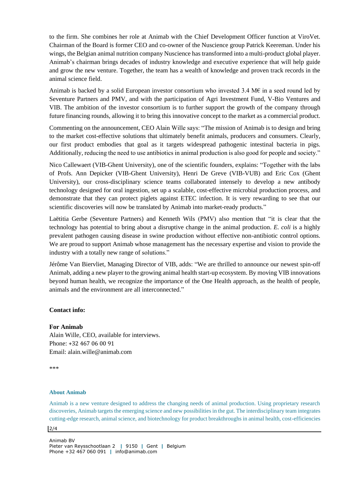to the firm. She combines her role at Animab with the Chief Development Officer function at ViroVet. Chairman of the Board is former CEO and co-owner of the Nuscience group Patrick Keereman. Under his wings, the Belgian animal nutrition company Nuscience has transformed into a multi-product global player. Animab's chairman brings decades of industry knowledge and executive experience that will help guide and grow the new venture. Together, the team has a wealth of knowledge and proven track records in the animal science field.

Animab is backed by a solid European investor consortium who invested 3.4 M $\epsilon$  in a seed round led by Seventure Partners and PMV, and with the participation of Agri Investment Fund, V-Bio Ventures and VIB. The ambition of the investor consortium is to further support the growth of the company through future financing rounds, allowing it to bring this innovative concept to the market as a commercial product.

Commenting on the announcement, CEO Alain Wille says: "The mission of Animab is to design and bring to the market cost-effective solutions that ultimately benefit animals, producers and consumers. Clearly, our first product embodies that goal as it targets widespread pathogenic intestinal bacteria in pigs. Additionally, reducing the need to use antibiotics in animal production is also good for people and society."

Nico Callewaert (VIB-Ghent University), one of the scientific founders, explains: "Together with the labs of Profs. Ann Depicker (VIB-Ghent University), Henri De Greve (VIB-VUB) and Eric Cox (Ghent University), our cross-disciplinary science teams collaborated intensely to develop a new antibody technology designed for oral ingestion, set up a scalable, cost-effective microbial production process, and demonstrate that they can protect piglets against ETEC infection. It is very rewarding to see that our scientific discoveries will now be translated by Animab into market-ready products."

Laëtitia Gerbe (Seventure Partners) and Kenneth Wils (PMV) also mention that "it is clear that the technology has potential to bring about a disruptive change in the animal production. *E. coli* is a highly prevalent pathogen causing disease in swine production without effective non-antibiotic control options. We are proud to support Animab whose management has the necessary expertise and vision to provide the industry with a totally new range of solutions."

Jérôme Van Biervliet, Managing Director of VIB, adds: "We are thrilled to announce our newest spin-off Animab, adding a new player to the growing animal health start-up ecosystem. By moving VIB innovations beyond human health, we recognize the importance of the One Health approach, as the health of people, animals and the environment are all interconnected."

# **Contact info:**

# **For Animab**

Alain Wille, CEO, available for interviews. Phone: +32 467 06 00 91 Email: alain.wille@animab.com

\*\*\*

# **About Animab**

Animab is a new venture designed to address the changing needs of animal production. Using proprietary research discoveries, Animab targets the emerging science and new possibilities in the gut. The interdisciplinary team integrates cutting-edge research, animal science, and biotechnology for product breakthroughs in animal health, cost-efficiencies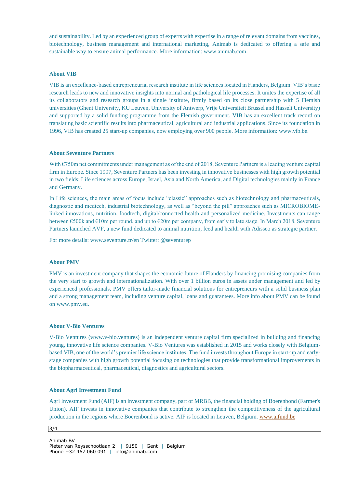and sustainability. Led by an experienced group of experts with expertise in a range of relevant domains from vaccines, biotechnology, business management and international marketing, Animab is dedicated to offering a safe and sustainable way to ensure animal performance. More information: www.animab.com.

# **About VIB**

VIB is an excellence-based entrepreneurial research institute in life sciences located in Flanders, Belgium. VIB's basic research leads to new and innovative insights into normal and pathological life processes. It unites the expertise of all its collaborators and research groups in a single institute, firmly based on its close partnership with 5 Flemish universities (Ghent University, KU Leuven, University of Antwerp, Vrije Universiteit Brussel and Hasselt University) and supported by a solid funding programme from the Flemish government. VIB has an excellent track record on translating basic scientific results into pharmaceutical, agricultural and industrial applications. Since its foundation in 1996, VIB has created 25 start-up companies, now employing over 900 people. More information: www.vib.be.

#### **About Seventure Partners**

With €750m net commitments under management as of the end of 2018, Seventure Partners is a leading venture capital firm in Europe. Since 1997, Seventure Partners has been investing in innovative businesses with high growth potential in two fields: Life sciences across Europe, Israel, Asia and North America, and Digital technologies mainly in France and Germany.

In Life sciences, the main areas of focus include "classic" approaches such as biotechnology and pharmaceuticals, diagnostic and medtech, industrial biotechnology, as well as "beyond the pill" approaches such as MICROBIOMElinked innovations, nutrition, foodtech, digital/connected health and personalized medicine. Investments can range between €500k and €10m per round, and up to €20m per company, from early to late stage. In March 2018, Seventure Partners launched AVF, a new fund dedicated to animal nutrition, feed and health with Adisseo as strategic partner.

For more details: www.seventure.fr/en Twitter: @seventurep

#### **About PMV**

PMV is an investment company that shapes the economic future of Flanders by financing promising companies from the very start to growth and internationalization. With over 1 billion euros in assets under management and led by experienced professionals, PMV offers tailor-made financial solutions for entrepreneurs with a solid business plan and a strong management team, including venture capital, loans and guarantees. More info about PMV can be found on www.pmv.eu.

#### **About V-Bio Ventures**

V-Bio Ventures (www.v-bio.ventures) is an independent venture capital firm specialized in building and financing young, innovative life science companies. V-Bio Ventures was established in 2015 and works closely with Belgiumbased VIB, one of the world's premier life science institutes. The fund invests throughout Europe in start-up and earlystage companies with high growth potential focusing on technologies that provide transformational improvements in the biopharmaceutical, pharmaceutical, diagnostics and agricultural sectors.

#### **About Agri Investment Fund**

Agri Investment Fund (AIF) is an investment company, part of MRBB, the financial holding of Boerenbond (Farmer's Union). AIF invests in innovative companies that contribute to strengthen the competitiveness of the agricultural production in the regions where Boerenbond is active. AIF is located in Leuven, Belgium. [www.aifund.be](http://www.aifund.be/)